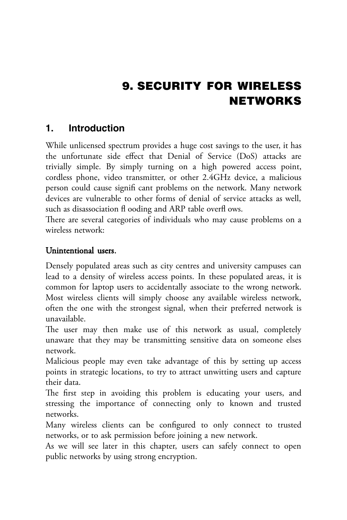### **1. Introduction**

While unlicensed spectrum provides a huge cost savings to the user, it has the unfortunate side effect that Denial of Service (DoS) attacks are trivially simple. By simply turning on a high powered access point, cordless phone, video transmitter, or other 2.4GHz device, a malicious person could cause signif cant problems on the network. Many network devices are vulnerable to other forms of denial of service attacks as well, such as disassociation fl ooding and ARP table overfl ows.

There are several categories of individuals who may cause problems on a wireless network:

#### Unintentional users.

Densely populated areas such as city centres and university campuses can lead to a density of wireless access points. In these populated areas, it is common for laptop users to accidentally associate to the wrong network. Most wireless clients will simply choose any available wireless network, often the one with the strongest signal, when their preferred network is unavailable.

The user may then make use of this network as usual, completely unaware that they may be transmitting sensitive data on someone elses network.

Malicious people may even take advantage of this by setting up access points in strategic locations, to try to attract unwitting users and capture their data.

The frst step in avoiding this problem is educating your users, and stressing the importance of connecting only to known and trusted networks.

Many wireless clients can be confgured to only connect to trusted networks, or to ask permission before joining a new network.

As we will see later in this chapter, users can safely connect to open public networks by using strong encryption.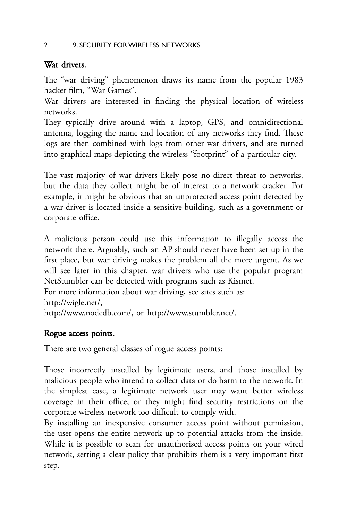### War drivers.

The "war driving" phenomenon draws its name from the popular 1983 hacker flm, "War Games".

War drivers are interested in fnding the physical location of wireless networks.

They typically drive around with a laptop, GPS, and omnidirectional antenna, logging the name and location of any networks they fnd. These logs are then combined with logs from other war drivers, and are turned into graphical maps depicting the wireless "footprint" of a particular city.

The vast majority of war drivers likely pose no direct threat to networks, but the data they collect might be of interest to a network cracker. For example, it might be obvious that an unprotected access point detected by a war driver is located inside a sensitive building, such as a government or corporate office.

A malicious person could use this information to illegally access the network there. Arguably, such an AP should never have been set up in the frst place, but war driving makes the problem all the more urgent. As we will see later in this chapter, war drivers who use the popular program NetStumbler can be detected with programs such as Kismet.

For more information about war driving, see sites such as:

[http://wigle.net/,](http://wigle.net/)

[http://www.nodedb.com/,](http://www.nodedb.com/) or [http://www.stumbler.net/.](http://www.stumbler.net/)

#### Rogue access points.

There are two general classes of rogue access points:

Those incorrectly installed by legitimate users, and those installed by malicious people who intend to collect data or do harm to the network. In the simplest case, a legitimate network user may want better wireless coverage in their office, or they might fnd security restrictions on the corporate wireless network too difficult to comply with.

By installing an inexpensive consumer access point without permission, the user opens the entire network up to potential attacks from the inside. While it is possible to scan for unauthorised access points on your wired network, setting a clear policy that prohibits them is a very important frst step.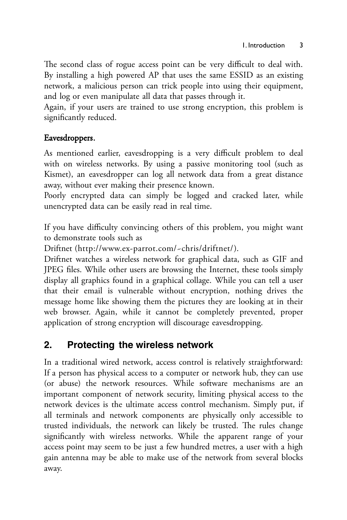The second class of rogue access point can be very difficult to deal with. By installing a high powered AP that uses the same ESSID as an existing network, a malicious person can trick people into using their equipment, and log or even manipulate all data that passes through it.

Again, if your users are trained to use strong encryption, this problem is signifcantly reduced.

### Eavesdroppers.

As mentioned earlier, eavesdropping is a very difficult problem to deal with on wireless networks. By using a passive monitoring tool (such as Kismet), an eavesdropper can log all network data from a great distance away, without ever making their presence known.

Poorly encrypted data can simply be logged and cracked later, while unencrypted data can be easily read in real time.

If you have difficulty convincing others of this problem, you might want to demonstrate tools such as

Driftnet (http://www.ex-parrot.com/~chris/driftnet/).

Driftnet watches a wireless network for graphical data, such as GIF and JPEG fles. While other users are browsing the Internet, these tools simply display all graphics found in a graphical collage. While you can tell a user that their email is vulnerable without encryption, nothing drives the message home like showing them the pictures they are looking at in their web browser. Again, while it cannot be completely prevented, proper application of strong encryption will discourage eavesdropping.

## **2. Protecting the wireless network**

In a traditional wired network, access control is relatively straightforward: If a person has physical access to a computer or network hub, they can use (or abuse) the network resources. While software mechanisms are an important component of network security, limiting physical access to the network devices is the ultimate access control mechanism. Simply put, if all terminals and network components are physically only accessible to trusted individuals, the network can likely be trusted. The rules change signifcantly with wireless networks. While the apparent range of your access point may seem to be just a few hundred metres, a user with a high gain antenna may be able to make use of the network from several blocks away.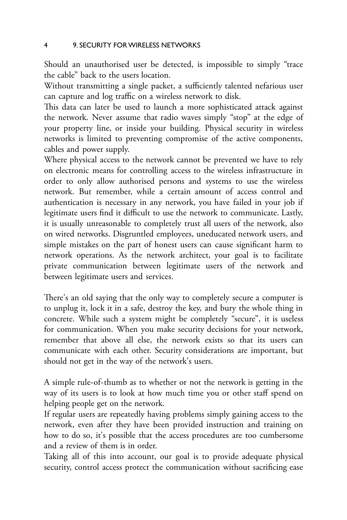Should an unauthorised user be detected, is impossible to simply "trace the cable" back to the users location.

Without transmitting a single packet, a sufficiently talented nefarious user can capture and log traffic on a wireless network to disk.

This data can later be used to launch a more sophisticated attack against the network. Never assume that radio waves simply "stop" at the edge of your property line, or inside your building. Physical security in wireless networks is limited to preventing compromise of the active components, cables and power supply.

Where physical access to the network cannot be prevented we have to rely on electronic means for controlling access to the wireless infrastructure in order to only allow authorised persons and systems to use the wireless network. But remember, while a certain amount of access control and authentication is necessary in any network, you have failed in your job if legitimate users fnd it difficult to use the network to communicate. Lastly, it is usually unreasonable to completely trust all users of the network, also on wired networks. Disgruntled employees, uneducated network users, and simple mistakes on the part of honest users can cause signifcant harm to network operations. As the network architect, your goal is to facilitate private communication between legitimate users of the network and between legitimate users and services.

There's an old saying that the only way to completely secure a computer is to unplug it, lock it in a safe, destroy the key, and bury the whole thing in concrete. While such a system might be completely "secure", it is useless for communication. When you make security decisions for your network, remember that above all else, the network exists so that its users can communicate with each other. Security considerations are important, but should not get in the way of the network's users.

A simple rule-of-thumb as to whether or not the network is getting in the way of its users is to look at how much time you or other staff spend on helping people get on the network.

If regular users are repeatedly having problems simply gaining access to the network, even after they have been provided instruction and training on how to do so, it's possible that the access procedures are too cumbersome and a review of them is in order.

Taking all of this into account, our goal is to provide adequate physical security, control access protect the communication without sacrifcing ease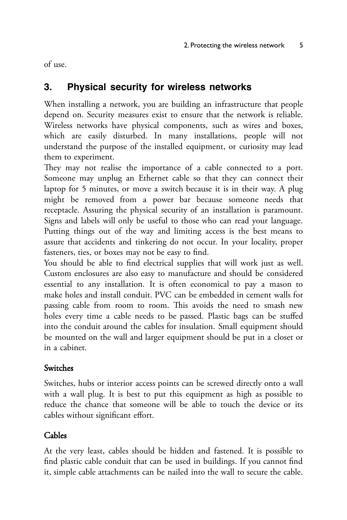of use.

### **3. Physical security for wireless networks**

When installing a network, you are building an infrastructure that people depend on. Security measures exist to ensure that the network is reliable. Wireless networks have physical components, such as wires and boxes, which are easily disturbed. In many installations, people will not understand the purpose of the installed equipment, or curiosity may lead them to experiment.

They may not realise the importance of a cable connected to a port. Someone may unplug an Ethernet cable so that they can connect their laptop for 5 minutes, or move a switch because it is in their way. A plug might be removed from a power bar because someone needs that receptacle. Assuring the physical security of an installation is paramount. Signs and labels will only be useful to those who can read your language. Putting things out of the way and limiting access is the best means to assure that accidents and tinkering do not occur. In your locality, proper fasteners, ties, or boxes may not be easy to fnd.

You should be able to fnd electrical supplies that will work just as well. Custom enclosures are also easy to manufacture and should be considered essential to any installation. It is often economical to pay a mason to make holes and install conduit. PVC can be embedded in cement walls for passing cable from room to room. This avoids the need to smash new holes every time a cable needs to be passed. Plastic bags can be stuffed into the conduit around the cables for insulation. Small equipment should be mounted on the wall and larger equipment should be put in a closet or in a cabinet.

#### Switches

Switches, hubs or interior access points can be screwed directly onto a wall with a wall plug. It is best to put this equipment as high as possible to reduce the chance that someone will be able to touch the device or its cables without signifcant effort.

#### **Cables**

At the very least, cables should be hidden and fastened. It is possible to fnd plastic cable conduit that can be used in buildings. If you cannot fnd it, simple cable attachments can be nailed into the wall to secure the cable.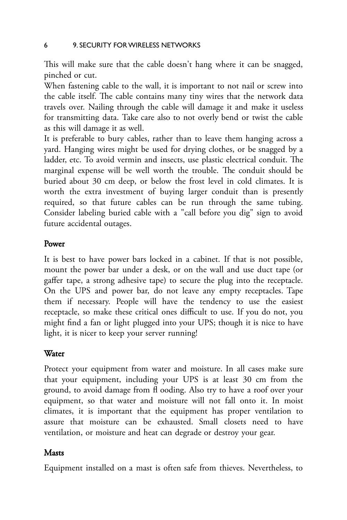This will make sure that the cable doesn't hang where it can be snagged, pinched or cut.

When fastening cable to the wall, it is important to not nail or screw into the cable itself. The cable contains many tiny wires that the network data travels over. Nailing through the cable will damage it and make it useless for transmitting data. Take care also to not overly bend or twist the cable as this will damage it as well.

It is preferable to bury cables, rather than to leave them hanging across a yard. Hanging wires might be used for drying clothes, or be snagged by a ladder, etc. To avoid vermin and insects, use plastic electrical conduit. The marginal expense will be well worth the trouble. The conduit should be buried about 30 cm deep, or below the frost level in cold climates. It is worth the extra investment of buying larger conduit than is presently required, so that future cables can be run through the same tubing. Consider labeling buried cable with a "call before you dig" sign to avoid future accidental outages.

#### Power

It is best to have power bars locked in a cabinet. If that is not possible, mount the power bar under a desk, or on the wall and use duct tape (or gaffer tape, a strong adhesive tape) to secure the plug into the receptacle. On the UPS and power bar, do not leave any empty receptacles. Tape them if necessary. People will have the tendency to use the easiest receptacle, so make these critical ones difficult to use. If you do not, you might fnd a fan or light plugged into your UPS; though it is nice to have light, it is nicer to keep your server running!

### Water

Protect your equipment from water and moisture. In all cases make sure that your equipment, including your UPS is at least 30 cm from the ground, to avoid damage from fl ooding. Also try to have a roof over your equipment, so that water and moisture will not fall onto it. In moist climates, it is important that the equipment has proper ventilation to assure that moisture can be exhausted. Small closets need to have ventilation, or moisture and heat can degrade or destroy your gear.

### Masts

Equipment installed on a mast is often safe from thieves. Nevertheless, to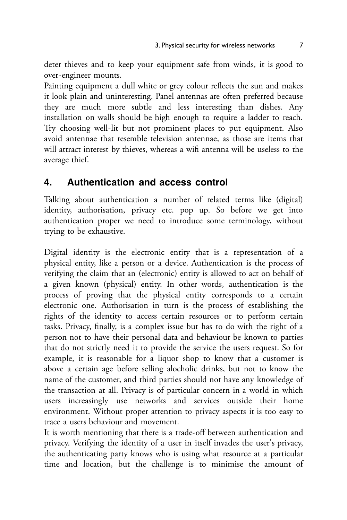deter thieves and to keep your equipment safe from winds, it is good to over-engineer mounts.

Painting equipment a dull white or grey colour refects the sun and makes it look plain and uninteresting. Panel antennas are often preferred because they are much more subtle and less interesting than dishes. Any installation on walls should be high enough to require a ladder to reach. Try choosing well-lit but not prominent places to put equipment. Also avoid antennae that resemble television antennae, as those are items that will attract interest by thieves, whereas a wif antenna will be useless to the average thief.

### **4. Authentication and access control**

Talking about authentication a number of related terms like (digital) identity, authorisation, privacy etc. pop up. So before we get into authentication proper we need to introduce some terminology, without trying to be exhaustive.

Digital identity is the electronic entity that is a representation of a physical entity, like a person or a device. Authentication is the process of verifying the claim that an (electronic) entity is allowed to act on behalf of a given known (physical) entity. In other words, authentication is the process of proving that the physical entity corresponds to a certain electronic one. Authorisation in turn is the process of establishing the rights of the identity to access certain resources or to perform certain tasks. Privacy, fnally, is a complex issue but has to do with the right of a person not to have their personal data and behaviour be known to parties that do not strictly need it to provide the service the users request. So for example, it is reasonable for a liquor shop to know that a customer is above a certain age before selling alocholic drinks, but not to know the name of the customer, and third parties should not have any knowledge of the transaction at all. Privacy is of particular concern in a world in which users increasingly use networks and services outside their home environment. Without proper attention to privacy aspects it is too easy to trace a users behaviour and movement.

It is worth mentioning that there is a trade-off between authentication and privacy. Verifying the identity of a user in itself invades the user's privacy, the authenticating party knows who is using what resource at a particular time and location, but the challenge is to minimise the amount of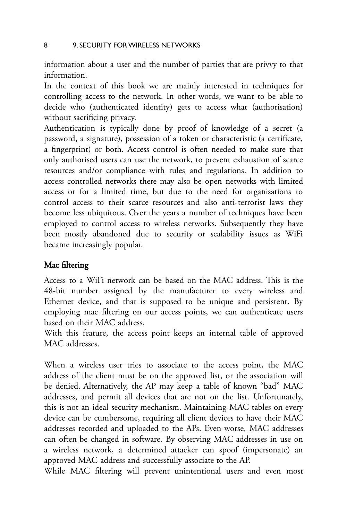information about a user and the number of parties that are privvy to that information.

In the context of this book we are mainly interested in techniques for controlling access to the network. In other words, we want to be able to decide who (authenticated identity) gets to access what (authorisation) without sacrificing privacy.

Authentication is typically done by proof of knowledge of a secret (a password, a signature), possession of a token or characteristic (a certifcate, a fngerprint) or both. Access control is often needed to make sure that only authorised users can use the network, to prevent exhaustion of scarce resources and/or compliance with rules and regulations. In addition to access controlled networks there may also be open networks with limited access or for a limited time, but due to the need for organisations to control access to their scarce resources and also anti-terrorist laws they become less ubiquitous. Over the years a number of techniques have been employed to control access to wireless networks. Subsequently they have been mostly abandoned due to security or scalability issues as WiFi became increasingly popular.

### Mac fltering

Access to a WiFi network can be based on the MAC address. This is the 48-bit number assigned by the manufacturer to every wireless and Ethernet device, and that is supposed to be unique and persistent. By employing mac fltering on our access points, we can authenticate users based on their MAC address.

With this feature, the access point keeps an internal table of approved MAC addresses.

When a wireless user tries to associate to the access point, the MAC address of the client must be on the approved list, or the association will be denied. Alternatively, the AP may keep a table of known "bad" MAC addresses, and permit all devices that are not on the list. Unfortunately, this is not an ideal security mechanism. Maintaining MAC tables on every device can be cumbersome, requiring all client devices to have their MAC addresses recorded and uploaded to the APs. Even worse, MAC addresses can often be changed in software. By observing MAC addresses in use on a wireless network, a determined attacker can spoof (impersonate) an approved MAC address and successfully associate to the AP.

While MAC fltering will prevent unintentional users and even most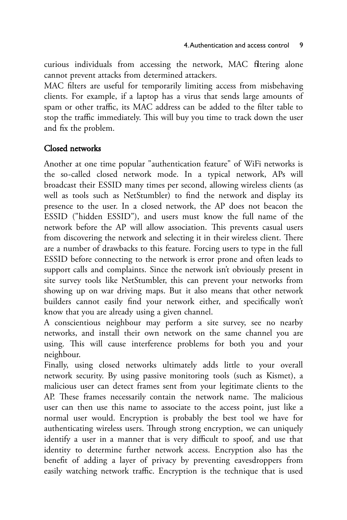curious individuals from accessing the network, MAC fltering alone cannot prevent attacks from determined attackers.

MAC flters are useful for temporarily limiting access from misbehaving clients. For example, if a laptop has a virus that sends large amounts of spam or other traffic, its MAC address can be added to the flter table to stop the traffic immediately. This will buy you time to track down the user and fx the problem.

#### Closed networks

Another at one time popular "authentication feature" of WiFi networks is the so-called closed network mode. In a typical network, APs will broadcast their ESSID many times per second, allowing wireless clients (as well as tools such as NetStumbler) to fnd the network and display its presence to the user. In a closed network, the AP does not beacon the ESSID ("hidden ESSID"), and users must know the full name of the network before the AP will allow association. This prevents casual users from discovering the network and selecting it in their wireless client. There are a number of drawbacks to this feature. Forcing users to type in the full ESSID before connecting to the network is error prone and often leads to support calls and complaints. Since the network isn't obviously present in site survey tools like NetStumbler, this can prevent your networks from showing up on war driving maps. But it also means that other network builders cannot easily fnd your network either, and specifcally won't know that you are already using a given channel.

A conscientious neighbour may perform a site survey, see no nearby networks, and install their own network on the same channel you are using. This will cause interference problems for both you and your neighbour.

Finally, using closed networks ultimately adds little to your overall network security. By using passive monitoring tools (such as Kismet), a malicious user can detect frames sent from your legitimate clients to the AP. These frames necessarily contain the network name. The malicious user can then use this name to associate to the access point, just like a normal user would. Encryption is probably the best tool we have for authenticating wireless users. Through strong encryption, we can uniquely identify a user in a manner that is very difficult to spoof, and use that identity to determine further network access. Encryption also has the beneft of adding a layer of privacy by preventing eavesdroppers from easily watching network traffic. Encryption is the technique that is used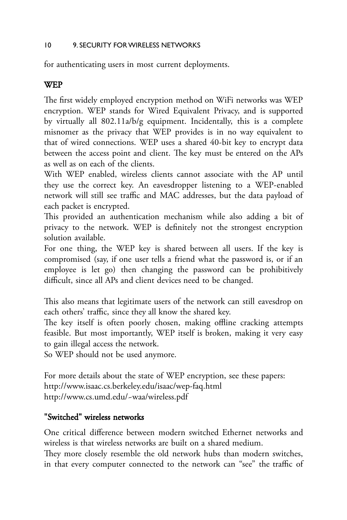for authenticating users in most current deployments.

#### WEP

The frst widely employed encryption method on WiFi networks was WEP encryption. WEP stands for Wired Equivalent Privacy, and is supported by virtually all 802.11a/b/g equipment. Incidentally, this is a complete misnomer as the privacy that WEP provides is in no way equivalent to that of wired connections. WEP uses a shared 40-bit key to encrypt data between the access point and client. The key must be entered on the APs as well as on each of the clients.

With WEP enabled, wireless clients cannot associate with the AP until they use the correct key. An eavesdropper listening to a WEP-enabled network will still see traffic and MAC addresses, but the data payload of each packet is encrypted.

This provided an authentication mechanism while also adding a bit of privacy to the network. WEP is defnitely not the strongest encryption solution available.

For one thing, the WEP key is shared between all users. If the key is compromised (say, if one user tells a friend what the password is, or if an employee is let go) then changing the password can be prohibitively difficult, since all APs and client devices need to be changed.

This also means that legitimate users of the network can still eavesdrop on each others' traffic, since they all know the shared key.

The key itself is often poorly chosen, making offline cracking attempts feasible. But most importantly, WEP itself is broken, making it very easy to gain illegal access the network.

So WEP should not be used anymore.

For more details about the state of WEP encryption, see these papers: http://www.isaac.cs.berkeley.edu/isaac/wep-faq.html <http://www.cs.umd.edu/~waa/wireless.pdf>

### "Switched" wireless networks

One critical difference between modern switched Ethernet networks and wireless is that wireless networks are built on a shared medium.

They more closely resemble the old network hubs than modern switches, in that every computer connected to the network can "see" the traffic of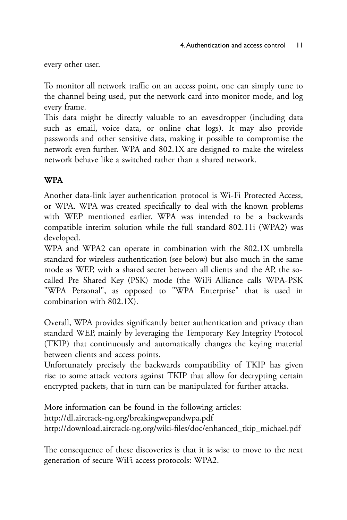every other user.

To monitor all network traffic on an access point, one can simply tune to the channel being used, put the network card into monitor mode, and log every frame.

This data might be directly valuable to an eavesdropper (including data such as email, voice data, or online chat logs). It may also provide passwords and other sensitive data, making it possible to compromise the network even further. WPA and 802.1X are designed to make the wireless network behave like a switched rather than a shared network.

### WPA

Another data-link layer authentication protocol is Wi-Fi Protected Access, or WPA. WPA was created specifcally to deal with the known problems with WEP mentioned earlier. WPA was intended to be a backwards compatible interim solution while the full standard 802.11i (WPA2) was developed.

WPA and WPA2 can operate in combination with the 802.1X umbrella standard for wireless authentication (see below) but also much in the same mode as WEP, with a shared secret between all clients and the AP, the socalled Pre Shared Key (PSK) mode (the WiFi Alliance calls WPA-PSK "WPA Personal", as opposed to "WPA Enterprise" that is used in combination with 802.1X).

Overall, WPA provides signifcantly better authentication and privacy than standard WEP, mainly by leveraging the Temporary Key Integrity Protocol (TKIP) that continuously and automatically changes the keying material between clients and access points.

Unfortunately precisely the backwards compatibility of TKIP has given rise to some attack vectors against TKIP that allow for decrypting certain encrypted packets, that in turn can be manipulated for further attacks.

More information can be found in the following articles: <http://dl.aircrack-ng.org/breakingwepandwpa.pdf> http://download.aircrack-ng.org/wiki-fles/doc/enhanced\_tkip\_michael.pdf

The consequence of these discoveries is that it is wise to move to the next generation of secure WiFi access protocols: WPA2.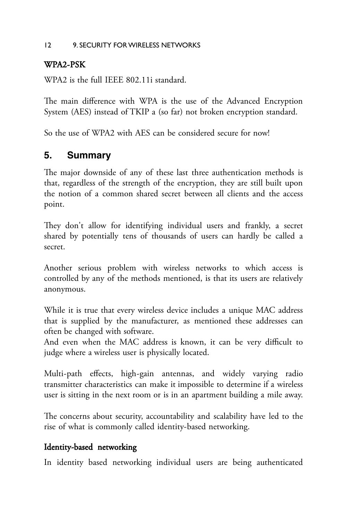### WPA2-PSK

WPA2 is the full IEEE 802.11i standard.

The main difference with WPA is the use of the Advanced Encryption System (AES) instead of TKIP a (so far) not broken encryption standard.

So the use of WPA2 with AES can be considered secure for now!

# **5. Summary**

The major downside of any of these last three authentication methods is that, regardless of the strength of the encryption, they are still built upon the notion of a common shared secret between all clients and the access point.

They don't allow for identifying individual users and frankly, a secret shared by potentially tens of thousands of users can hardly be called a secret.

Another serious problem with wireless networks to which access is controlled by any of the methods mentioned, is that its users are relatively anonymous.

While it is true that every wireless device includes a unique MAC address that is supplied by the manufacturer, as mentioned these addresses can often be changed with software.

And even when the MAC address is known, it can be very difficult to judge where a wireless user is physically located.

Multi-path effects, high-gain antennas, and widely varying radio transmitter characteristics can make it impossible to determine if a wireless user is sitting in the next room or is in an apartment building a mile away.

The concerns about security, accountability and scalability have led to the rise of what is commonly called identity-based networking.

### Identity-based networking

In identity based networking individual users are being authenticated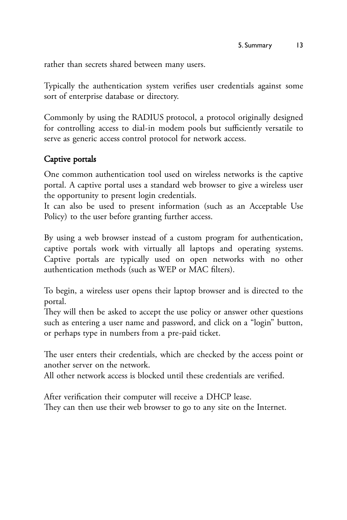rather than secrets shared between many users.

Typically the authentication system verifes user credentials against some sort of enterprise database or directory.

Commonly by using the RADIUS protocol, a protocol originally designed for controlling access to dial-in modem pools but sufficiently versatile to serve as generic access control protocol for network access.

### Captive portals

One common authentication tool used on wireless networks is the captive portal. A captive portal uses a standard web browser to give a wireless user the opportunity to present login credentials.

It can also be used to present information (such as an Acceptable Use Policy) to the user before granting further access.

By using a web browser instead of a custom program for authentication, captive portals work with virtually all laptops and operating systems. Captive portals are typically used on open networks with no other authentication methods (such as WEP or MAC flters).

To begin, a wireless user opens their laptop browser and is directed to the portal.

They will then be asked to accept the use policy or answer other questions such as entering a user name and password, and click on a "login" button, or perhaps type in numbers from a pre-paid ticket.

The user enters their credentials, which are checked by the access point or another server on the network.

All other network access is blocked until these credentials are verifed.

After verifcation their computer will receive a DHCP lease. They can then use their web browser to go to any site on the Internet.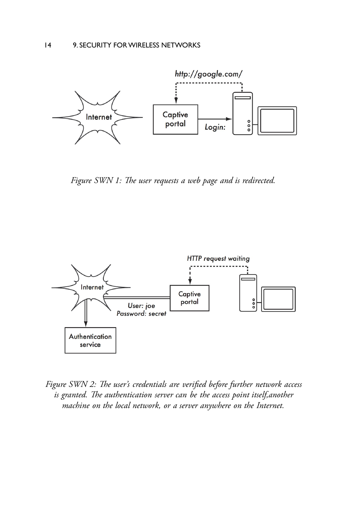

*Figure SWN 1: The user requests a web page and is redirected.*



*Figure SWN 2: The user's credentials are verified before further network access is granted. The authentication server can be the access point itself,another machine on the local network, or a server anywhere on the Internet.*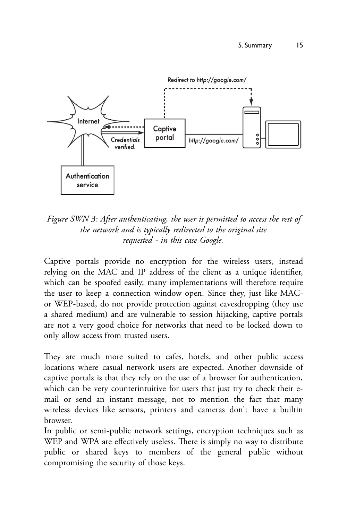

*Figure SWN 3: After authenticating, the user is permitted to access the rest of the network and is typically redirected to the original site requested - in this case Google.*

Captive portals provide no encryption for the wireless users, instead relying on the MAC and IP address of the client as a unique identifer, which can be spoofed easily, many implementations will therefore require the user to keep a connection window open. Since they, just like MACor WEP-based, do not provide protection against eavesdropping (they use a shared medium) and are vulnerable to session hijacking, captive portals are not a very good choice for networks that need to be locked down to only allow access from trusted users.

They are much more suited to cafes, hotels, and other public access locations where casual network users are expected. Another downside of captive portals is that they rely on the use of a browser for authentication, which can be very counterintuitive for users that just try to check their email or send an instant message, not to mention the fact that many wireless devices like sensors, printers and cameras don't have a builtin browser.

In public or semi-public network settings, encryption techniques such as WEP and WPA are effectively useless. There is simply no way to distribute public or shared keys to members of the general public without compromising the security of those keys.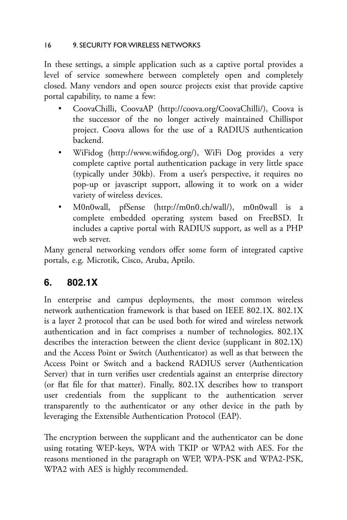In these settings, a simple application such as a captive portal provides a level of service somewhere between completely open and completely closed. Many vendors and open source projects exist that provide captive portal capability, to name a few:

- CoovaChilli, CoovaAP [\(http://coova.org/CoovaChilli/\),](http://coova.org/CoovaChilli/)) Coova is the successor of the no longer actively maintained Chillispot project. Coova allows for the use of a RADIUS authentication backend.
- WiFidog [\(http://www.wifdog.org/\),](http://www.wifidog.org/)) WiFi Dog provides a very complete captive portal authentication package in very little space (typically under 30kb). From a user's perspective, it requires no pop-up or javascript support, allowing it to work on a wider variety of wireless devices.
- M0n0wall, pfSense [\(http://m0n0.ch/wall/\),](http://m0n0.ch/wall/)) m0n0wall is complete embedded operating system based on FreeBSD. It includes a captive portal with RADIUS support, as well as a PHP web server.

Many general networking vendors offer some form of integrated captive portals, e.g. Microtik, Cisco, Aruba, Aptilo.

### **6. 802.1X**

In enterprise and campus deployments, the most common wireless network authentication framework is that based on IEEE 802.1X. 802.1X is a layer 2 protocol that can be used both for wired and wireless network authentication and in fact comprises a number of technologies. 802.1X describes the interaction between the client device (supplicant in 802.1X) and the Access Point or Switch (Authenticator) as well as that between the Access Point or Switch and a backend RADIUS server (Authentication Server) that in turn verifes user credentials against an enterprise directory (or fat fle for that matter). Finally, 802.1X describes how to transport user credentials from the supplicant to the authentication server transparently to the authenticator or any other device in the path by leveraging the Extensible Authentication Protocol (EAP).

The encryption between the supplicant and the authenticator can be done using rotating WEP-keys, WPA with TKIP or WPA2 with AES. For the reasons mentioned in the paragraph on WEP, WPA-PSK and WPA2-PSK, WPA2 with AES is highly recommended.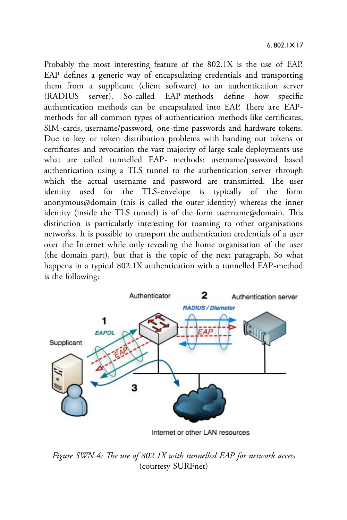Probably the most interesting feature of the 802.1X is the use of EAP. EAP defnes a generic way of encapsulating credentials and transporting them from a supplicant (client software) to an authentication server (RADIUS server). So-called EAP-methods defne how specifc authentication methods can be encapsulated into EAP. There are EAPmethods for all common types of authentication methods like certifcates, SIM-cards, username/password, one-time passwords and hardware tokens. Due to key or token distribution problems with handing out tokens or certifcates and revocation the vast majority of large scale deployments use what are called tunnelled EAP- methods: username/password based authentication using a TLS tunnel to the authentication server through which the actual username and password are transmitted. The user identity used for the TLS-envelope is typically of the form anonymous@domain (this is called the outer identity) whereas the inner identity (inside the TLS tunnel) is of the form username@domain. This distinction is particularly interesting for roaming to other organisations networks. It is possible to transport the authentication credentials of a user over the Internet while only revealing the home organisation of the user (the domain part), but that is the topic of the next paragraph. So what happens in a typical 802.1X authentication with a tunnelled EAP-method is the following:



Internet or other LAN resources

*Figure SWN 4: The use of 802.1X with tunnelled EAP for network access* (courtesy SURFnet)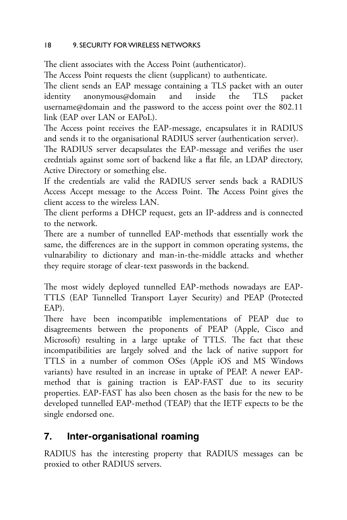The client associates with the Access Point (authenticator).

The Access Point requests the client (supplicant) to authenticate.

The client sends an EAP message containing a TLS packet with an outer identity anonymous@domain and inside the TLS packet username@domain and the password to the access point over the 802.11 link (EAP over LAN or EAPoL).

The Access point receives the EAP-message, encapsulates it in RADIUS and sends it to the organisational RADIUS server (authentication server).

The RADIUS server decapsulates the EAP-message and verifes the user credntials against some sort of backend like a fat fle, an LDAP directory, Active Directory or something else.

If the credentials are valid the RADIUS server sends back a RADIUS Access Accept message to the Access Point. The Access Point gives the client access to the wireless LAN.

The client performs a DHCP request, gets an IP-address and is connected to the network.

There are a number of tunnelled EAP-methods that essentially work the same, the differences are in the support in common operating systems, the vulnarability to dictionary and man-in-the-middle attacks and whether they require storage of clear-text passwords in the backend.

The most widely deployed tunnelled EAP-methods nowadays are EAP-TTLS (EAP Tunnelled Transport Layer Security) and PEAP (Protected EAP).

There have been incompatible implementations of PEAP due to disagreements between the proponents of PEAP (Apple, Cisco and Microsoft) resulting in a large uptake of TTLS. The fact that these incompatibilities are largely solved and the lack of native support for TTLS in a number of common OSes (Apple iOS and MS Windows variants) have resulted in an increase in uptake of PEAP. A newer EAPmethod that is gaining traction is EAP-FAST due to its security properties. EAP-FAST has also been chosen as the basis for the new to be developed tunnelled EAP-method (TEAP) that the IETF expects to be the single endorsed one.

# **7. Inter-organisational roaming**

RADIUS has the interesting property that RADIUS messages can be proxied to other RADIUS servers.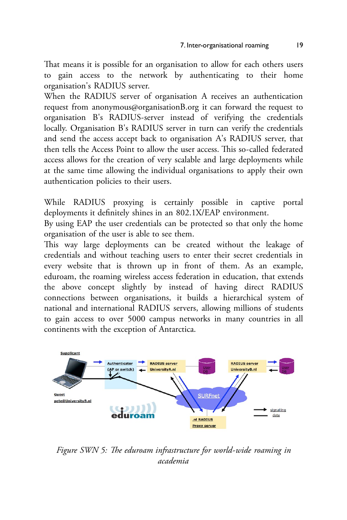That means it is possible for an organisation to allow for each others users to gain access to the network by authenticating to their home organisation's RADIUS server.

When the RADIUS server of organisation A receives an authentication request from [anonymous@organisationB.org](mailto:anonymous@organisationB.org) it can forward the request to organisation B's RADIUS-server instead of verifying the credentials locally. Organisation B's RADIUS server in turn can verify the credentials and send the access accept back to organisation A's RADIUS server, that then tells the Access Point to allow the user access. This so-called federated access allows for the creation of very scalable and large deployments while at the same time allowing the individual organisations to apply their own authentication policies to their users.

While RADIUS proxying is certainly possible in captive portal deployments it defnitely shines in an 802.1X/EAP environment.

By using EAP the user credentials can be protected so that only the home organisation of the user is able to see them.

This way large deployments can be created without the leakage of credentials and without teaching users to enter their secret credentials in every website that is thrown up in front of them. As an example, eduroam, the roaming wireless access federation in education, that extends the above concept slightly by instead of having direct RADIUS connections between organisations, it builds a hierarchical system of national and international RADIUS servers, allowing millions of students to gain access to over 5000 campus networks in many countries in all continents with the exception of Antarctica.



*Figure SWN 5: The eduroam infrastructure for world-wide roaming in academia*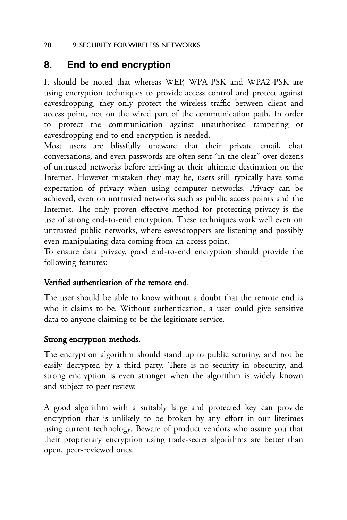#### **8. End to end encryption**

It should be noted that whereas WEP, WPA-PSK and WPA2-PSK are using encryption techniques to provide access control and protect against eavesdropping, they only protect the wireless traffic between client and access point, not on the wired part of the communication path. In order to protect the communication against unauthorised tampering or eavesdropping end to end encryption is needed.

Most users are blissfully unaware that their private email, chat conversations, and even passwords are often sent "in the clear" over dozens of untrusted networks before arriving at their ultimate destination on the Internet. However mistaken they may be, users still typically have some expectation of privacy when using computer networks. Privacy can be achieved, even on untrusted networks such as public access points and the Internet. The only proven effective method for protecting privacy is the use of strong end-to-end encryption. These techniques work well even on untrusted public networks, where eavesdroppers are listening and possibly even manipulating data coming from an access point.

To ensure data privacy, good end-to-end encryption should provide the following features:

#### Verifed authentication of the remote end.

The user should be able to know without a doubt that the remote end is who it claims to be. Without authentication, a user could give sensitive data to anyone claiming to be the legitimate service.

#### Strong encryption methods.

The encryption algorithm should stand up to public scrutiny, and not be easily decrypted by a third party. There is no security in obscurity, and strong encryption is even stronger when the algorithm is widely known and subject to peer review.

A good algorithm with a suitably large and protected key can provide encryption that is unlikely to be broken by any effort in our lifetimes using current technology. Beware of product vendors who assure you that their proprietary encryption using trade-secret algorithms are better than open, peer-reviewed ones.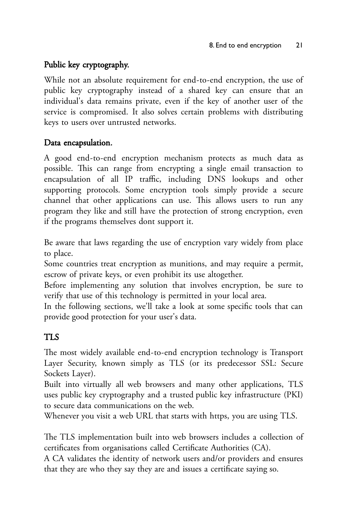#### Public key cryptography.

While not an absolute requirement for end-to-end encryption, the use of public key cryptography instead of a shared key can ensure that an individual's data remains private, even if the key of another user of the service is compromised. It also solves certain problems with distributing keys to users over untrusted networks.

#### Data encapsulation.

A good end-to-end encryption mechanism protects as much data as possible. This can range from encrypting a single email transaction to encapsulation of all IP traffic, including DNS lookups and other supporting protocols. Some encryption tools simply provide a secure channel that other applications can use. This allows users to run any program they like and still have the protection of strong encryption, even if the programs themselves dont support it.

Be aware that laws regarding the use of encryption vary widely from place to place.

Some countries treat encryption as munitions, and may require a permit, escrow of private keys, or even prohibit its use altogether.

Before implementing any solution that involves encryption, be sure to verify that use of this technology is permitted in your local area.

In the following sections, we'll take a look at some specifc tools that can provide good protection for your user's data.

### TLS

The most widely available end-to-end encryption technology is Transport Layer Security, known simply as TLS (or its predecessor SSL: Secure Sockets Layer).

Built into virtually all web browsers and many other applications, TLS uses public key cryptography and a trusted public key infrastructure (PKI) to secure data communications on the web.

Whenever you visit a web URL that starts with https, you are using TLS.

The TLS implementation built into web browsers includes a collection of certifcates from organisations called Certifcate Authorities (CA).

A CA validates the identity of network users and/or providers and ensures that they are who they say they are and issues a certifcate saying so.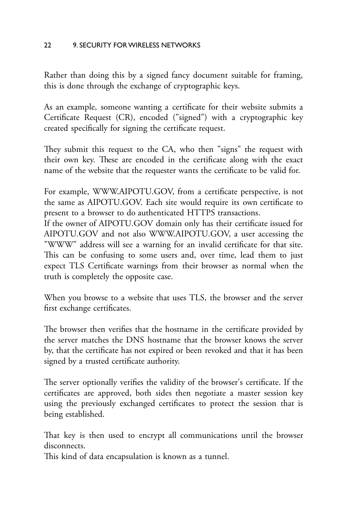Rather than doing this by a signed fancy document suitable for framing, this is done through the exchange of cryptographic keys.

As an example, someone wanting a certifcate for their website submits a Certifcate Request (CR), encoded ("signed") with a cryptographic key created specifcally for signing the certifcate request.

They submit this request to the CA, who then "signs" the request with their own key. These are encoded in the certifcate along with the exact name of the website that the requester wants the certifcate to be valid for.

For example, [WWW.AIPOTU.GOV,](http://WWW.AIPOTU.GOV/) from a certifcate perspective, is not the same as AIPOTU.GOV. Each site would require its own certifcate to present to a browser to do authenticated HTTPS transactions.

If the owner of AIPOTU.GOV domain only has their certifcate issued for AIPOTU.GOV and not also [WWW.AIPOTU.GOV,](http://WWW.AIPOTU.GOV/) a user accessing the "WWW" address will see a warning for an invalid certifcate for that site. This can be confusing to some users and, over time, lead them to just expect TLS Certifcate warnings from their browser as normal when the truth is completely the opposite case.

When you browse to a website that uses TLS, the browser and the server frst exchange certifcates.

The browser then verifes that the hostname in the certifcate provided by the server matches the DNS hostname that the browser knows the server by, that the certifcate has not expired or been revoked and that it has been signed by a trusted certifcate authority.

The server optionally verifes the validity of the browser's certifcate. If the certifcates are approved, both sides then negotiate a master session key using the previously exchanged certifcates to protect the session that is being established.

That key is then used to encrypt all communications until the browser disconnects.

This kind of data encapsulation is known as a tunnel.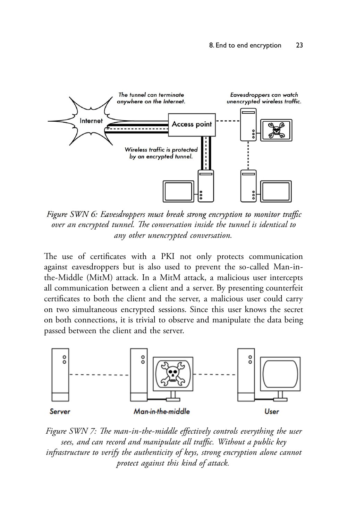

Figure SWN 6: Eavesdroppers must break strong encryption to monitor traffic *over an encrypted tunnel. The conversation inside the tunnel is identical to any other unencrypted conversation.*

The use of certifcates with a PKI not only protects communication against eavesdroppers but is also used to prevent the so-called Man-inthe-Middle (MitM) attack. In a MitM attack, a malicious user intercepts all communication between a client and a server. By presenting counterfeit certifcates to both the client and the server, a malicious user could carry on two simultaneous encrypted sessions. Since this user knows the secret on both connections, it is trivial to observe and manipulate the data being passed between the client and the server.



*Figure SWN 7: The man-in-the-middle effectively controls everything the user sees, and can record and manipulate all traffic. Without a public key infrastructure to verify the authenticity of keys, strong encryption alone cannot protect against this kind of attack.*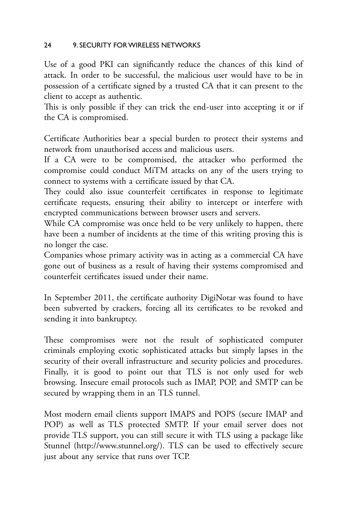Use of a good PKI can signifcantly reduce the chances of this kind of attack. In order to be successful, the malicious user would have to be in possession of a certifcate signed by a trusted CA that it can present to the client to accept as authentic.

This is only possible if they can trick the end-user into accepting it or if the CA is compromised.

Certifcate Authorities bear a special burden to protect their systems and network from unauthorised access and malicious users.

If a CA were to be compromised, the attacker who performed the compromise could conduct MiTM attacks on any of the users trying to connect to systems with a certifcate issued by that CA.

They could also issue counterfeit certifcates in response to legitimate certifcate requests, ensuring their ability to intercept or interfere with encrypted communications between browser users and servers.

While CA compromise was once held to be very unlikely to happen, there have been a number of incidents at the time of this writing proving this is no longer the case.

Companies whose primary activity was in acting as a commercial CA have gone out of business as a result of having their systems compromised and counterfeit certifcates issued under their name.

In September 2011, the certifcate authority DigiNotar was found to have been subverted by crackers, forcing all its certifcates to be revoked and sending it into bankruptcy.

These compromises were not the result of sophisticated computer criminals employing exotic sophisticated attacks but simply lapses in the security of their overall infrastructure and security policies and procedures. Finally, it is good to point out that TLS is not only used for web browsing. Insecure email protocols such as IMAP, POP, and SMTP can be secured by wrapping them in an TLS tunnel.

Most modern email clients support IMAPS and POPS (secure IMAP and POP) as well as TLS protected SMTP. If your email server does not provide TLS support, you can still secure it with TLS using a package like Stunnel [\(http://www.stunnel.org/\).](http://www.stunnel.org/)) TLS can be used to effectively secure just about any service that runs over TCP.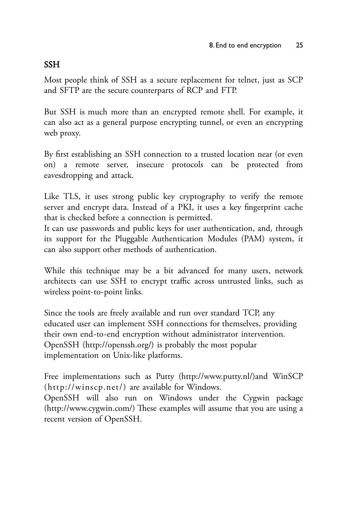#### SSH

Most people think of SSH as a secure replacement for telnet, just as SCP and SFTP are the secure counterparts of RCP and FTP.

But SSH is much more than an encrypted remote shell. For example, it can also act as a general purpose encrypting tunnel, or even an encrypting web proxy.

By frst establishing an SSH connection to a trusted location near (or even on) a remote server, insecure protocols can be protected from eavesdropping and attack.

Like TLS, it uses strong public key cryptography to verify the remote server and encrypt data. Instead of a PKI, it uses a key fngerprint cache that is checked before a connection is permitted.

It can use passwords and public keys for user authentication, and, through its support for the Pluggable Authentication Modules (PAM) system, it can also support other methods of authentication.

While this technique may be a bit advanced for many users, network architects can use SSH to encrypt traffic across untrusted links, such as wireless point-to-point links.

Since the tools are freely available and run over standard TCP, any educated user can implement SSH connections for themselves, providing their own end-to-end encryption without administrator intervention. OpenSSH [\(http://openssh.org/\)](http://openssh.org/)) is probably the most popular implementation on Unix-like platforms.

Free implementations such as Putty [\(http://www.putty.nl/\)](http://www.putty.nl/))and WinSCP [\(http://winscp.net/\)](http://winscp.net/) are available for Windows.

OpenSSH will also run on Windows under the Cygwin package [\(http://www.cygwin.com/](http://www.cygwin.com/))) These examples will assume that you are using a recent version of OpenSSH.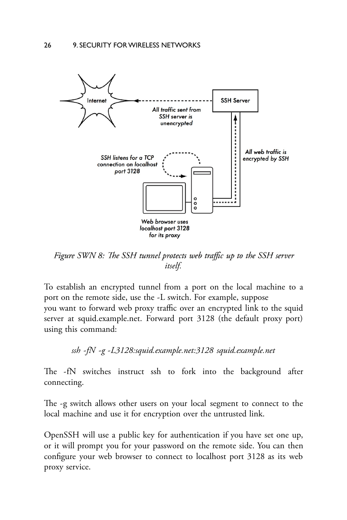

Figure SWN 8: The SSH tunnel protects web traffic up to the SSH server *itself.*

To establish an encrypted tunnel from a port on the local machine to a port on the remote side, use the -L switch. For example, suppose you want to forward web proxy traffic over an encrypted link to the squid server at squid.example.net. Forward port 3128 (the default proxy port) using this command:

*ssh -fN -g -L3128:squid.example.net:3128 squid.example.net*

The -fN switches instruct ssh to fork into the background after connecting.

The -g switch allows other users on your local segment to connect to the local machine and use it for encryption over the untrusted link.

OpenSSH will use a public key for authentication if you have set one up, or it will prompt you for your password on the remote side. You can then confgure your web browser to connect to localhost port 3128 as its web proxy service.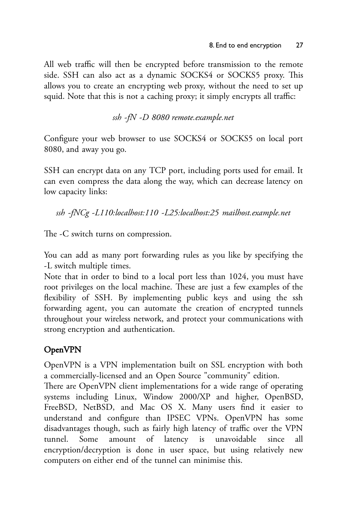All web traffic will then be encrypted before transmission to the remote side. SSH can also act as a dynamic SOCKS4 or SOCKS5 proxy. This allows you to create an encrypting web proxy, without the need to set up squid. Note that this is not a caching proxy; it simply encrypts all traffic:

*ssh -fN -D 8080 remote.example.net*

Confgure your web browser to use SOCKS4 or SOCKS5 on local port 8080, and away you go.

SSH can encrypt data on any TCP port, including ports used for email. It can even compress the data along the way, which can decrease latency on low capacity links:

*ssh -fNCg -L110:localhost:110 -L25:localhost:25 mailhost.example.net*

The -C switch turns on compression.

You can add as many port forwarding rules as you like by specifying the -L switch multiple times.

Note that in order to bind to a local port less than 1024, you must have root privileges on the local machine. These are just a few examples of the fexibility of SSH. By implementing public keys and using the ssh forwarding agent, you can automate the creation of encrypted tunnels throughout your wireless network, and protect your communications with strong encryption and authentication.

### OpenVPN

OpenVPN is a VPN implementation built on SSL encryption with both a commercially-licensed and an Open Source "community" edition.

There are OpenVPN client implementations for a wide range of operating systems including Linux, Window 2000/XP and higher, OpenBSD, FreeBSD, NetBSD, and Mac OS X. Many users fnd it easier to understand and confgure than IPSEC VPNs. OpenVPN has some disadvantages though, such as fairly high latency of traffic over the VPN tunnel. Some amount of latency is unavoidable since all encryption/decryption is done in user space, but using relatively new computers on either end of the tunnel can minimise this.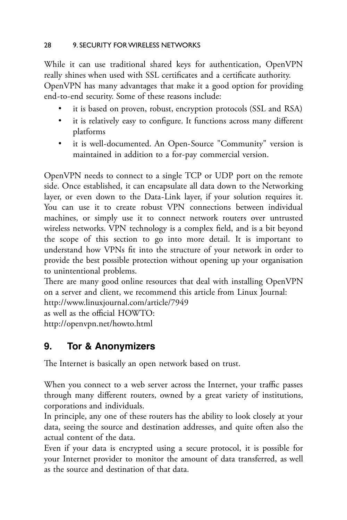While it can use traditional shared keys for authentication, OpenVPN really shines when used with SSL certifcates and a certifcate authority. OpenVPN has many advantages that make it a good option for providing end-to-end security. Some of these reasons include:

- it is based on proven, robust, encryption protocols (SSL and RSA)
- it is relatively easy to confgure. It functions across many different platforms
- it is well-documented. An Open-Source "Community" version is maintained in addition to a for-pay commercial version.

OpenVPN needs to connect to a single TCP or UDP port on the remote side. Once established, it can encapsulate all data down to the Networking layer, or even down to the Data-Link layer, if your solution requires it. You can use it to create robust VPN connections between individual machines, or simply use it to connect network routers over untrusted wireless networks. VPN technology is a complex feld, and is a bit beyond the scope of this section to go into more detail. It is important to understand how VPNs ft into the structure of your network in order to provide the best possible protection without opening up your organisation to unintentional problems.

There are many good online resources that deal with installing OpenVPN on a server and client, we recommend this article from Linux Journal:

<http://www.linuxjournal.com/article/7949>

as well as the official HOWTO:

<http://openvpn.net/howto.html>

# **9. Tor & Anonymizers**

The Internet is basically an open network based on trust.

When you connect to a web server across the Internet, your traffic passes through many different routers, owned by a great variety of institutions, corporations and individuals.

In principle, any one of these routers has the ability to look closely at your data, seeing the source and destination addresses, and quite often also the actual content of the data.

Even if your data is encrypted using a secure protocol, it is possible for your Internet provider to monitor the amount of data transferred, as well as the source and destination of that data.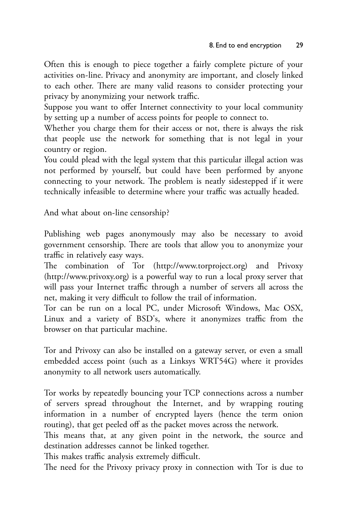Often this is enough to piece together a fairly complete picture of your activities on-line. Privacy and anonymity are important, and closely linked to each other. There are many valid reasons to consider protecting your privacy by anonymizing your network traffic.

Suppose you want to offer Internet connectivity to your local community by setting up a number of access points for people to connect to.

Whether you charge them for their access or not, there is always the risk that people use the network for something that is not legal in your country or region.

You could plead with the legal system that this particular illegal action was not performed by yourself, but could have been performed by anyone connecting to your network. The problem is neatly sidestepped if it were technically infeasible to determine where your traffic was actually headed.

And what about on-line censorship?

Publishing web pages anonymously may also be necessary to avoid government censorship. There are tools that allow you to anonymize your traffic in relatively easy ways.

The combination of Tor [\(http://www.torproject.org\)](http://www.torproject.org/) and Privoxy [\(http://www.privoxy.org\)](http://www.privoxy.org/) is a powerful way to run a local proxy server that will pass your Internet traffic through a number of servers all across the net, making it very difficult to follow the trail of information.

Tor can be run on a local PC, under Microsoft Windows, Mac OSX, Linux and a variety of BSD's, where it anonymizes traffic from the browser on that particular machine.

Tor and Privoxy can also be installed on a gateway server, or even a small embedded access point (such as a Linksys WRT54G) where it provides anonymity to all network users automatically.

Tor works by repeatedly bouncing your TCP connections across a number of servers spread throughout the Internet, and by wrapping routing information in a number of encrypted layers (hence the term onion routing), that get peeled off as the packet moves across the network.

This means that, at any given point in the network, the source and destination addresses cannot be linked together.

This makes traffic analysis extremely difficult.

The need for the Privoxy privacy proxy in connection with Tor is due to